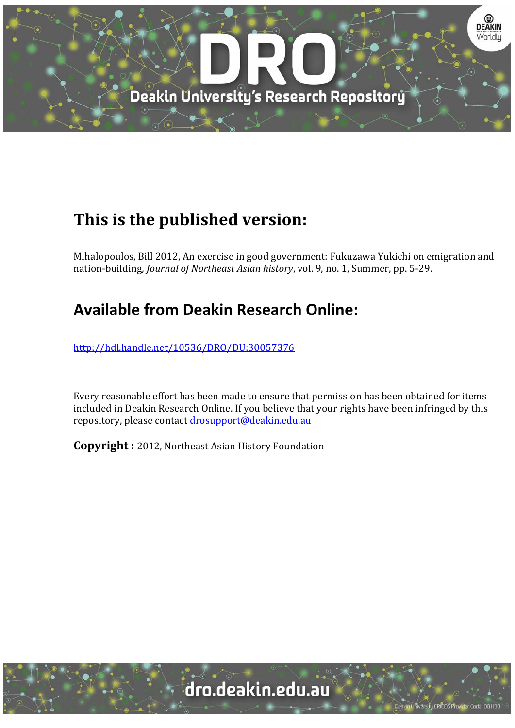

# **This is the published version:**

Mihalopoulos, Bill 2012, An exercise in good government: Fukuzawa Yukichi on emigration and nation-building, *Journal of Northeast Asian history*, vol. 9, no. 1, Summer, pp. 5-29.

## **Available from Deakin Research Online:**

http://hdl.handle.net/10536/DRO/DU:30057376

Every reasonable effort has been made to ensure that permission has been obtained for items included in Deakin Research Online. If you believe that your rights have been infringed by this repository, please contact drosupport@deakin.edu.au

**Copyright** : 2012, Northeast Asian History Foundation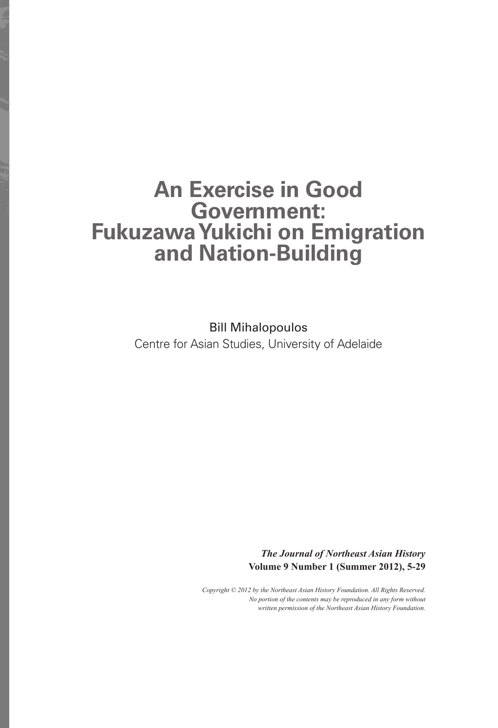## **An Exercise in Good Government: Fukuzawa Yukichi on Emigration and Nation-Building**

Bill Mihalopoulos Centre for Asian Studies, University of Adelaide

> *The Journal of Northeast Asian History* **Volume 9 Number 1 (Summer 2012), 5-29**

*Copyright © 2012 by the Northeast Asian History Foundation. All Rights Reserved. No portion of the contents may be reproduced in any form without written permission of the Northeast Asian History Foundation.*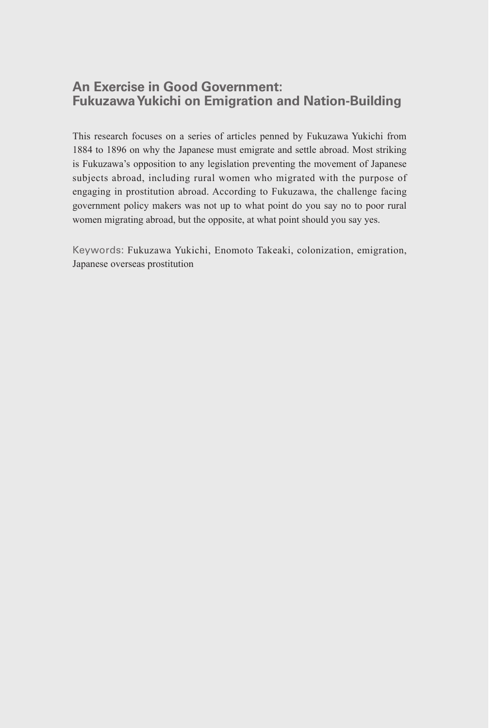### **An Exercise in Good Government: Fukuzawa Yukichi on Emigration and Nation-Building**

This research focuses on a series of articles penned by Fukuzawa Yukichi from 1884 to 1896 on why the Japanese must emigrate and settle abroad. Most striking is Fukuzawa's opposition to any legislation preventing the movement of Japanese subjects abroad, including rural women who migrated with the purpose of engaging in prostitution abroad. According to Fukuzawa, the challenge facing government policy makers was not up to what point do you say no to poor rural women migrating abroad, but the opposite, at what point should you say yes.

Keywords: Fukuzawa Yukichi, Enomoto Takeaki, colonization, emigration, Japanese overseas prostitution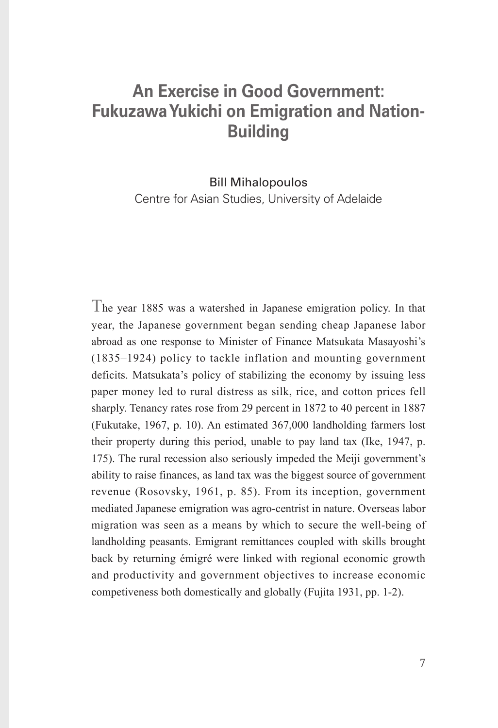### **An Exercise in Good Government: Fukuzawa Yukichi on Emigration and Nation-Building**

Bill Mihalopoulos

Centre for Asian Studies, University of Adelaide

The year 1885 was a watershed in Japanese emigration policy. In that year, the Japanese government began sending cheap Japanese labor abroad as one response to Minister of Finance Matsukata Masayoshi's (1835–1924) policy to tackle inflation and mounting government deficits. Matsukata's policy of stabilizing the economy by issuing less paper money led to rural distress as silk, rice, and cotton prices fell sharply. Tenancy rates rose from 29 percent in 1872 to 40 percent in 1887 (Fukutake, 1967, p. 10). An estimated 367,000 landholding farmers lost their property during this period, unable to pay land tax (Ike, 1947, p. 175). The rural recession also seriously impeded the Meiji government's ability to raise finances, as land tax was the biggest source of government revenue (Rosovsky, 1961, p. 85). From its inception, government mediated Japanese emigration was agro-centrist in nature. Overseas labor migration was seen as a means by which to secure the well-being of landholding peasants. Emigrant remittances coupled with skills brought back by returning émigré were linked with regional economic growth and productivity and government objectives to increase economic competiveness both domestically and globally (Fujita 1931, pp. 1-2).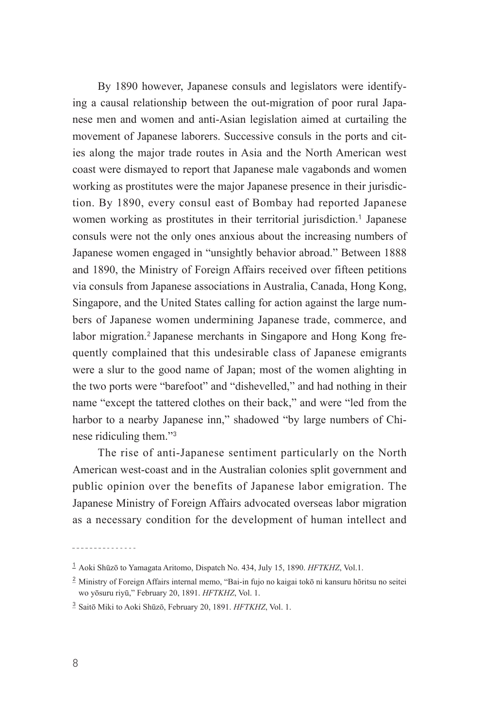By 1890 however, Japanese consuls and legislators were identifying a causal relationship between the out-migration of poor rural Japanese men and women and anti-Asian legislation aimed at curtailing the movement of Japanese laborers. Successive consuls in the ports and cities along the major trade routes in Asia and the North American west coast were dismayed to report that Japanese male vagabonds and women working as prostitutes were the major Japanese presence in their jurisdiction. By 1890, every consul east of Bombay had reported Japanese women working as prostitutes in their territorial jurisdiction.**<sup>1</sup>** Japanese consuls were not the only ones anxious about the increasing numbers of Japanese women engaged in "unsightly behavior abroad." Between 1888 and 1890, the Ministry of Foreign Affairs received over fifteen petitions via consuls from Japanese associations in Australia, Canada, Hong Kong, Singapore, and the United States calling for action against the large numbers of Japanese women undermining Japanese trade, commerce, and labor migration.**2** Japanese merchants in Singapore and Hong Kong frequently complained that this undesirable class of Japanese emigrants were a slur to the good name of Japan; most of the women alighting in the two ports were "barefoot" and "dishevelled," and had nothing in their name "except the tattered clothes on their back," and were "led from the harbor to a nearby Japanese inn," shadowed "by large numbers of Chinese ridiculing them."**<sup>3</sup>**

The rise of anti-Japanese sentiment particularly on the North American west-coast and in the Australian colonies split government and public opinion over the benefits of Japanese labor emigration. The Japanese Ministry of Foreign Affairs advocated overseas labor migration as a necessary condition for the development of human intellect and

**<sup>1</sup>** ¡Aoki Shūzō to Yamagata Aritomo, Dispatch No. 434, July 15, 1890. *HFTKHZ*, Vol.1.

**<sup>2</sup>** ¡Ministry of Foreign Affairs internal memo, "Bai-in fujo no kaigai tokō ni kansuru hōritsu no seitei wo yōsuru riyū," February 20, 1891. *HFTKHZ*, Vol. 1.

**<sup>3</sup>** ¡Saitō Miki to Aoki Shūzō, February 20, 1891. *HFTKHZ*, Vol. 1.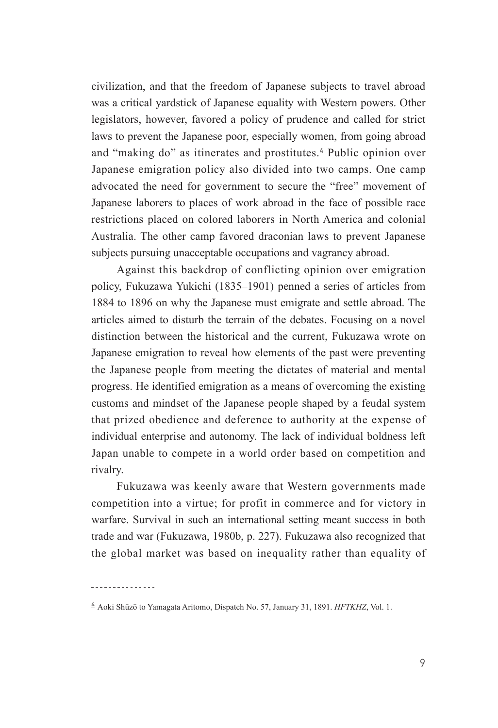civilization, and that the freedom of Japanese subjects to travel abroad was a critical yardstick of Japanese equality with Western powers. Other legislators, however, favored a policy of prudence and called for strict laws to prevent the Japanese poor, especially women, from going abroad and "making do" as itinerates and prostitutes.**<sup>4</sup>** Public opinion over Japanese emigration policy also divided into two camps. One camp advocated the need for government to secure the "free" movement of Japanese laborers to places of work abroad in the face of possible race restrictions placed on colored laborers in North America and colonial Australia. The other camp favored draconian laws to prevent Japanese subjects pursuing unacceptable occupations and vagrancy abroad.

Against this backdrop of conflicting opinion over emigration policy, Fukuzawa Yukichi (1835–1901) penned a series of articles from 1884 to 1896 on why the Japanese must emigrate and settle abroad. The articles aimed to disturb the terrain of the debates. Focusing on a novel distinction between the historical and the current, Fukuzawa wrote on Japanese emigration to reveal how elements of the past were preventing the Japanese people from meeting the dictates of material and mental progress. He identified emigration as a means of overcoming the existing customs and mindset of the Japanese people shaped by a feudal system that prized obedience and deference to authority at the expense of individual enterprise and autonomy. The lack of individual boldness left Japan unable to compete in a world order based on competition and rivalry.

Fukuzawa was keenly aware that Western governments made competition into a virtue; for profit in commerce and for victory in warfare. Survival in such an international setting meant success in both trade and war (Fukuzawa, 1980b, p. 227). Fukuzawa also recognized that the global market was based on inequality rather than equality of

**4** ¡Aoki Shūzō to Yamagata Aritomo, Dispatch No. 57, January 31, 1891. *HFTKHZ*, Vol. 1.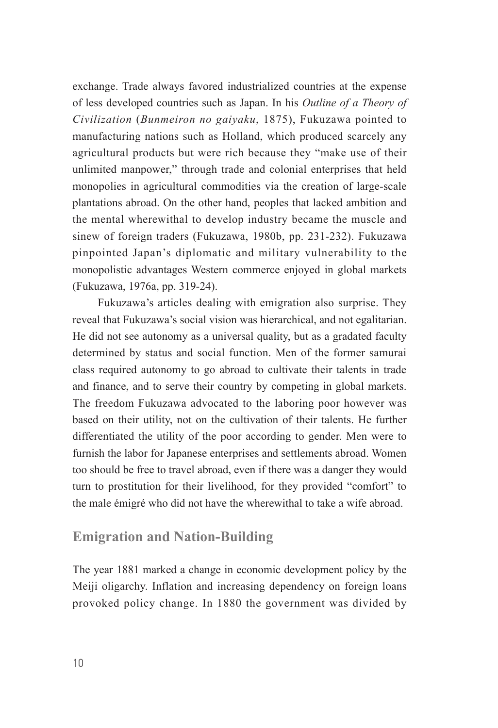exchange. Trade always favored industrialized countries at the expense of less developed countries such as Japan. In his *Outline of a Theory of Civilization* (*Bunmeiron no gaiyaku*, 1875), Fukuzawa pointed to manufacturing nations such as Holland, which produced scarcely any agricultural products but were rich because they "make use of their unlimited manpower," through trade and colonial enterprises that held monopolies in agricultural commodities via the creation of large-scale plantations abroad. On the other hand, peoples that lacked ambition and the mental wherewithal to develop industry became the muscle and sinew of foreign traders (Fukuzawa, 1980b, pp. 231-232). Fukuzawa pinpointed Japan's diplomatic and military vulnerability to the monopolistic advantages Western commerce enjoyed in global markets (Fukuzawa, 1976a, pp. 319-24).

Fukuzawa's articles dealing with emigration also surprise. They reveal that Fukuzawa's social vision was hierarchical, and not egalitarian. He did not see autonomy as a universal quality, but as a gradated faculty determined by status and social function. Men of the former samurai class required autonomy to go abroad to cultivate their talents in trade and finance, and to serve their country by competing in global markets. The freedom Fukuzawa advocated to the laboring poor however was based on their utility, not on the cultivation of their talents. He further differentiated the utility of the poor according to gender. Men were to furnish the labor for Japanese enterprises and settlements abroad. Women too should be free to travel abroad, even if there was a danger they would turn to prostitution for their livelihood, for they provided "comfort" to the male émigré who did not have the wherewithal to take a wife abroad.

### **Emigration and Nation-Building**

The year 1881 marked a change in economic development policy by the Meiji oligarchy. Inflation and increasing dependency on foreign loans provoked policy change. In 1880 the government was divided by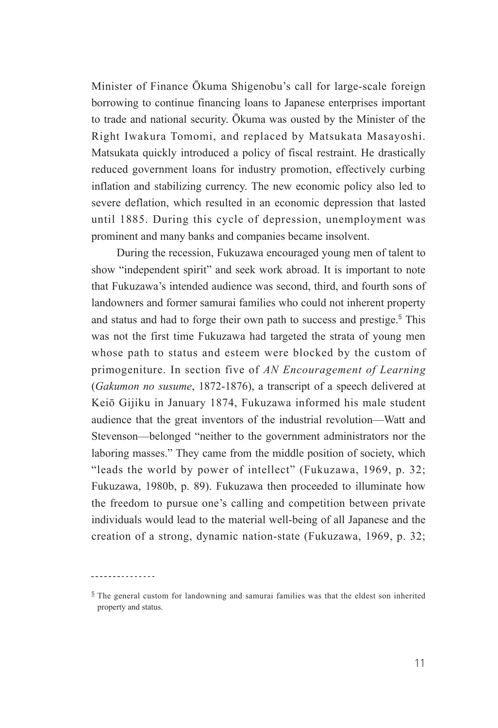Minister of Finance Ōkuma Shigenobu's call for large-scale foreign borrowing to continue financing loans to Japanese enterprises important to trade and national security. Ōkuma was ousted by the Minister of the Right Iwakura Tomomi, and replaced by Matsukata Masayoshi. Matsukata quickly introduced a policy of fiscal restraint. He drastically reduced government loans for industry promotion, effectively curbing inflation and stabilizing currency. The new economic policy also led to severe deflation, which resulted in an economic depression that lasted until 1885. During this cycle of depression, unemployment was prominent and many banks and companies became insolvent.

During the recession, Fukuzawa encouraged young men of talent to show "independent spirit" and seek work abroad. It is important to note that Fukuzawa's intended audience was second, third, and fourth sons of landowners and former samurai families who could not inherent property and status and had to forge their own path to success and prestige.**<sup>5</sup>** This was not the first time Fukuzawa had targeted the strata of young men whose path to status and esteem were blocked by the custom of primogeniture. In section five of *AN Encouragement of Learning*  (*Gakumon no susume*, 1872-1876), a transcript of a speech delivered at Keiō Gijiku in January 1874, Fukuzawa informed his male student audience that the great inventors of the industrial revolution—Watt and Stevenson—belonged "neither to the government administrators nor the laboring masses." They came from the middle position of society, which "leads the world by power of intellect" (Fukuzawa, 1969, p. 32; Fukuzawa, 1980b, p. 89). Fukuzawa then proceeded to illuminate how the freedom to pursue one's calling and competition between private individuals would lead to the material well-being of all Japanese and the creation of a strong, dynamic nation-state (Fukuzawa, 1969, p. 32;

<sup>&</sup>lt;sup>5</sup> The general custom for landowning and samurai families was that the eldest son inherited property and status.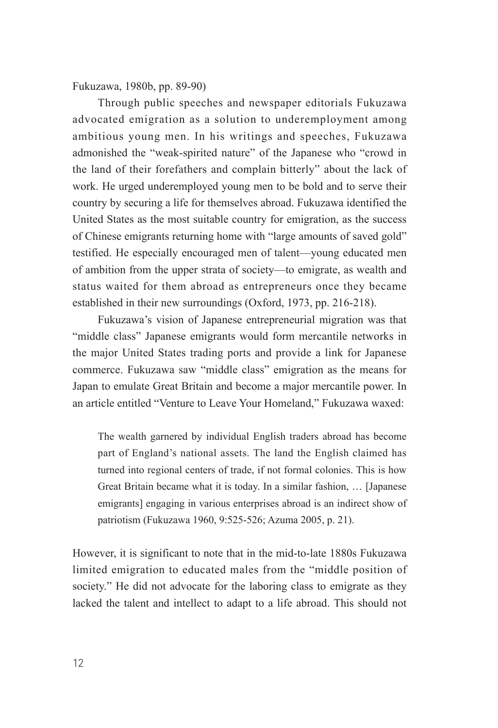Fukuzawa, 1980b, pp. 89-90)

Through public speeches and newspaper editorials Fukuzawa advocated emigration as a solution to underemployment among ambitious young men. In his writings and speeches, Fukuzawa admonished the "weak-spirited nature" of the Japanese who "crowd in the land of their forefathers and complain bitterly" about the lack of work. He urged underemployed young men to be bold and to serve their country by securing a life for themselves abroad. Fukuzawa identified the United States as the most suitable country for emigration, as the success of Chinese emigrants returning home with "large amounts of saved gold" testified. He especially encouraged men of talent—young educated men of ambition from the upper strata of society—to emigrate, as wealth and status waited for them abroad as entrepreneurs once they became established in their new surroundings (Oxford, 1973, pp. 216-218).

Fukuzawa's vision of Japanese entrepreneurial migration was that "middle class" Japanese emigrants would form mercantile networks in the major United States trading ports and provide a link for Japanese commerce. Fukuzawa saw "middle class" emigration as the means for Japan to emulate Great Britain and become a major mercantile power. In an article entitled "Venture to Leave Your Homeland," Fukuzawa waxed:

The wealth garnered by individual English traders abroad has become part of England's national assets. The land the English claimed has turned into regional centers of trade, if not formal colonies. This is how Great Britain became what it is today. In a similar fashion, … [Japanese emigrants] engaging in various enterprises abroad is an indirect show of patriotism (Fukuzawa 1960, 9:525-526; Azuma 2005, p. 21).

However, it is significant to note that in the mid-to-late 1880s Fukuzawa limited emigration to educated males from the "middle position of society." He did not advocate for the laboring class to emigrate as they lacked the talent and intellect to adapt to a life abroad. This should not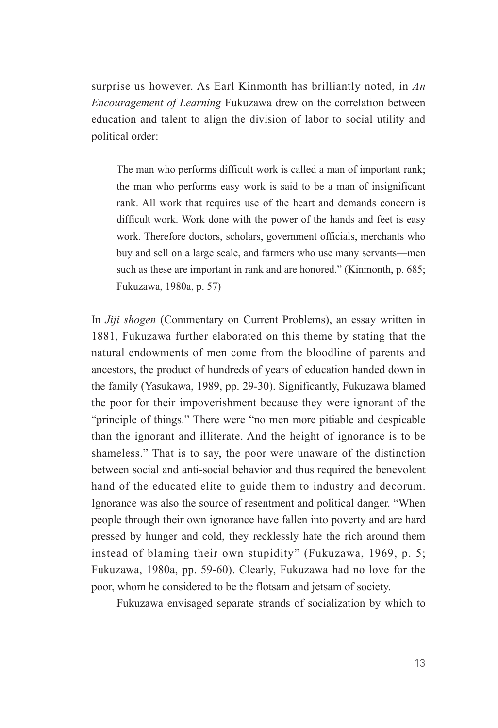surprise us however. As Earl Kinmonth has brilliantly noted, in *An Encouragement of Learning* Fukuzawa drew on the correlation between education and talent to align the division of labor to social utility and political order:

The man who performs difficult work is called a man of important rank; the man who performs easy work is said to be a man of insignificant rank. All work that requires use of the heart and demands concern is difficult work. Work done with the power of the hands and feet is easy work. Therefore doctors, scholars, government officials, merchants who buy and sell on a large scale, and farmers who use many servants—men such as these are important in rank and are honored." (Kinmonth, p. 685; Fukuzawa, 1980a, p. 57)

In *Jiji shogen* (Commentary on Current Problems), an essay written in 1881, Fukuzawa further elaborated on this theme by stating that the natural endowments of men come from the bloodline of parents and ancestors, the product of hundreds of years of education handed down in the family (Yasukawa, 1989, pp. 29-30). Significantly, Fukuzawa blamed the poor for their impoverishment because they were ignorant of the "principle of things." There were "no men more pitiable and despicable than the ignorant and illiterate. And the height of ignorance is to be shameless." That is to say, the poor were unaware of the distinction between social and anti-social behavior and thus required the benevolent hand of the educated elite to guide them to industry and decorum. Ignorance was also the source of resentment and political danger. "When people through their own ignorance have fallen into poverty and are hard pressed by hunger and cold, they recklessly hate the rich around them instead of blaming their own stupidity" (Fukuzawa, 1969, p. 5; Fukuzawa, 1980a, pp. 59-60). Clearly, Fukuzawa had no love for the poor, whom he considered to be the flotsam and jetsam of society.

Fukuzawa envisaged separate strands of socialization by which to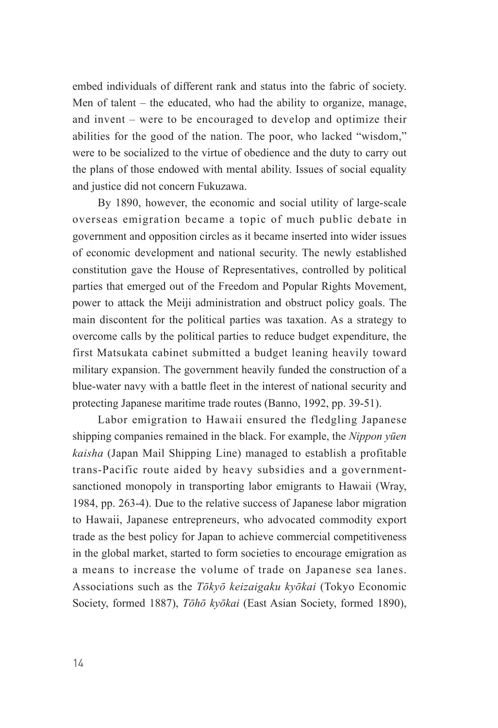embed individuals of different rank and status into the fabric of society. Men of talent – the educated, who had the ability to organize, manage, and invent – were to be encouraged to develop and optimize their abilities for the good of the nation. The poor, who lacked "wisdom," were to be socialized to the virtue of obedience and the duty to carry out the plans of those endowed with mental ability. Issues of social equality and justice did not concern Fukuzawa.

By 1890, however, the economic and social utility of large-scale overseas emigration became a topic of much public debate in government and opposition circles as it became inserted into wider issues of economic development and national security. The newly established constitution gave the House of Representatives, controlled by political parties that emerged out of the Freedom and Popular Rights Movement, power to attack the Meiji administration and obstruct policy goals. The main discontent for the political parties was taxation. As a strategy to overcome calls by the political parties to reduce budget expenditure, the first Matsukata cabinet submitted a budget leaning heavily toward military expansion. The government heavily funded the construction of a blue-water navy with a battle fleet in the interest of national security and protecting Japanese maritime trade routes (Banno, 1992, pp. 39-51).

Labor emigration to Hawaii ensured the fledgling Japanese shipping companies remained in the black. For example, the *Nippon yūen kaisha* (Japan Mail Shipping Line) managed to establish a profitable trans-Pacific route aided by heavy subsidies and a governmentsanctioned monopoly in transporting labor emigrants to Hawaii (Wray, 1984, pp. 263-4). Due to the relative success of Japanese labor migration to Hawaii, Japanese entrepreneurs, who advocated commodity export trade as the best policy for Japan to achieve commercial competitiveness in the global market, started to form societies to encourage emigration as a means to increase the volume of trade on Japanese sea lanes. Associations such as the *Tōkyō keizaigaku kyōkai* (Tokyo Economic Society, formed 1887), *Tōhō kyōkai* (East Asian Society, formed 1890),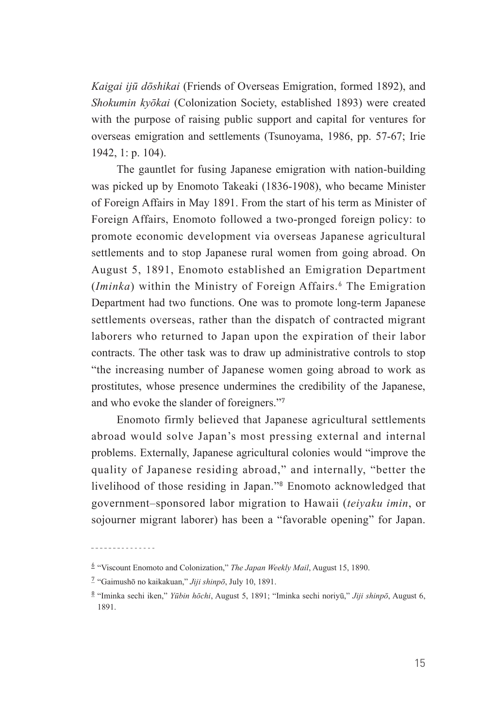*Kaigai ijū dōshikai* (Friends of Overseas Emigration, formed 1892), and *Shokumin kyōkai* (Colonization Society, established 1893) were created with the purpose of raising public support and capital for ventures for overseas emigration and settlements (Tsunoyama, 1986, pp. 57-67; Irie 1942, 1: p. 104).

The gauntlet for fusing Japanese emigration with nation-building was picked up by Enomoto Takeaki (1836-1908), who became Minister of Foreign Affairs in May 1891. From the start of his term as Minister of Foreign Affairs, Enomoto followed a two-pronged foreign policy: to promote economic development via overseas Japanese agricultural settlements and to stop Japanese rural women from going abroad. On August 5, 1891, Enomoto established an Emigration Department (*Iminka*) within the Ministry of Foreign Affairs.**<sup>6</sup>** The Emigration Department had two functions. One was to promote long-term Japanese settlements overseas, rather than the dispatch of contracted migrant laborers who returned to Japan upon the expiration of their labor contracts. The other task was to draw up administrative controls to stop "the increasing number of Japanese women going abroad to work as prostitutes, whose presence undermines the credibility of the Japanese, and who evoke the slander of foreigners."**<sup>7</sup>**

Enomoto firmly believed that Japanese agricultural settlements abroad would solve Japan's most pressing external and internal problems. Externally, Japanese agricultural colonies would "improve the quality of Japanese residing abroad," and internally, "better the livelihood of those residing in Japan."**<sup>8</sup>** Enomoto acknowledged that government–sponsored labor migration to Hawaii (*teiyaku imin*, or sojourner migrant laborer) has been a "favorable opening" for Japan.

---------------

**<sup>6</sup>** ¡"Viscount Enomoto and Colonization," *The Japan Weekly Mail*, August 15, 1890.

**<sup>7</sup>** ¡"Gaimushō no kaikakuan," *Jiji shinpō*, July 10, 1891.

**<sup>8</sup>** ¡"Iminka sechi iken," *Yūbin hōchi*, August 5, 1891; "Iminka sechi noriyū," *Jiji shinpō*, August 6, 1891.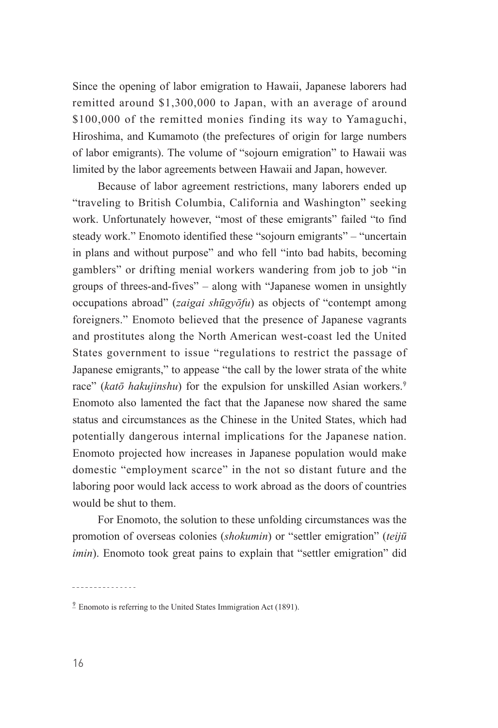Since the opening of labor emigration to Hawaii, Japanese laborers had remitted around \$1,300,000 to Japan, with an average of around \$100,000 of the remitted monies finding its way to Yamaguchi, Hiroshima, and Kumamoto (the prefectures of origin for large numbers of labor emigrants). The volume of "sojourn emigration" to Hawaii was limited by the labor agreements between Hawaii and Japan, however.

Because of labor agreement restrictions, many laborers ended up "traveling to British Columbia, California and Washington" seeking work. Unfortunately however, "most of these emigrants" failed "to find steady work." Enomoto identified these "sojourn emigrants" – "uncertain in plans and without purpose" and who fell "into bad habits, becoming gamblers" or drifting menial workers wandering from job to job "in groups of threes-and-fives" – along with "Japanese women in unsightly occupations abroad" (*zaigai shūgyōfu*) as objects of "contempt among foreigners." Enomoto believed that the presence of Japanese vagrants and prostitutes along the North American west-coast led the United States government to issue "regulations to restrict the passage of Japanese emigrants," to appease "the call by the lower strata of the white race" (*katō hakujinshu*) for the expulsion for unskilled Asian workers.**<sup>9</sup>** Enomoto also lamented the fact that the Japanese now shared the same status and circumstances as the Chinese in the United States, which had potentially dangerous internal implications for the Japanese nation. Enomoto projected how increases in Japanese population would make domestic "employment scarce" in the not so distant future and the laboring poor would lack access to work abroad as the doors of countries would be shut to them.

For Enomoto, the solution to these unfolding circumstances was the promotion of overseas colonies (*shokumin*) or "settler emigration" (*teijū imin*). Enomoto took great pains to explain that "settler emigration" did

<sup>&</sup>lt;sup>9</sup> Enomoto is referring to the United States Immigration Act (1891).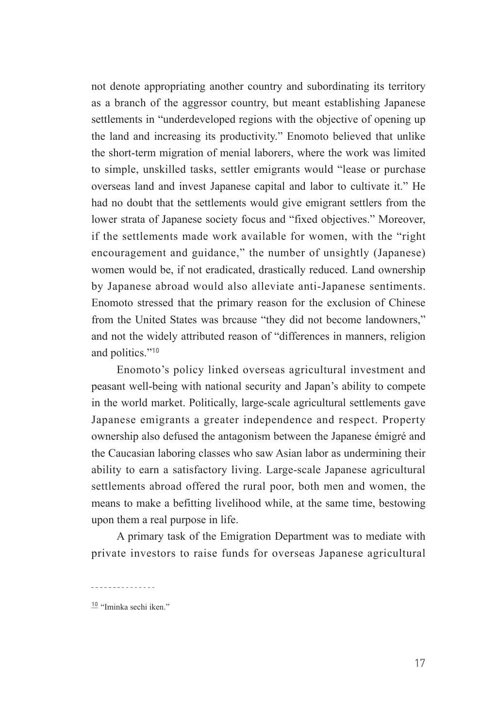not denote appropriating another country and subordinating its territory as a branch of the aggressor country, but meant establishing Japanese settlements in "underdeveloped regions with the objective of opening up the land and increasing its productivity." Enomoto believed that unlike the short-term migration of menial laborers, where the work was limited to simple, unskilled tasks, settler emigrants would "lease or purchase overseas land and invest Japanese capital and labor to cultivate it." He had no doubt that the settlements would give emigrant settlers from the lower strata of Japanese society focus and "fixed objectives." Moreover, if the settlements made work available for women, with the "right encouragement and guidance," the number of unsightly (Japanese) women would be, if not eradicated, drastically reduced. Land ownership by Japanese abroad would also alleviate anti-Japanese sentiments. Enomoto stressed that the primary reason for the exclusion of Chinese from the United States was brcause "they did not become landowners," and not the widely attributed reason of "differences in manners, religion and politics."**<sup>10</sup>**

Enomoto's policy linked overseas agricultural investment and peasant well-being with national security and Japan's ability to compete in the world market. Politically, large-scale agricultural settlements gave Japanese emigrants a greater independence and respect. Property ownership also defused the antagonism between the Japanese émigré and the Caucasian laboring classes who saw Asian labor as undermining their ability to earn a satisfactory living. Large-scale Japanese agricultural settlements abroad offered the rural poor, both men and women, the means to make a befitting livelihood while, at the same time, bestowing upon them a real purpose in life.

A primary task of the Emigration Department was to mediate with private investors to raise funds for overseas Japanese agricultural

**<sup>10</sup>**¡"Iminka sechi iken."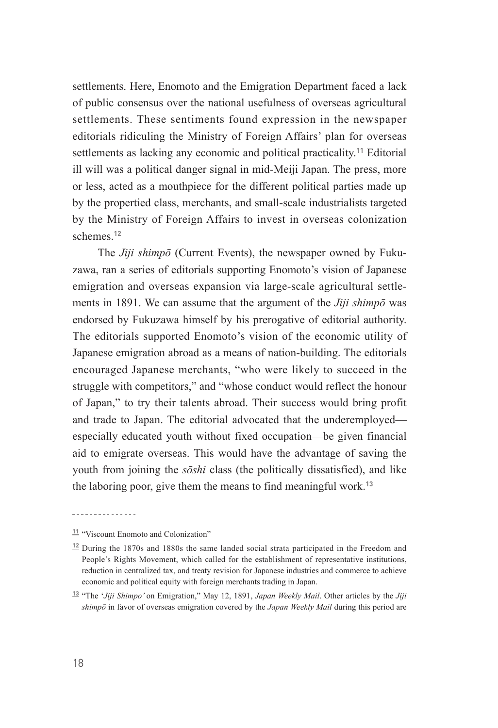settlements. Here, Enomoto and the Emigration Department faced a lack of public consensus over the national usefulness of overseas agricultural settlements. These sentiments found expression in the newspaper editorials ridiculing the Ministry of Foreign Affairs' plan for overseas settlements as lacking any economic and political practicality.**<sup>11</sup>** Editorial ill will was a political danger signal in mid-Meiji Japan. The press, more or less, acted as a mouthpiece for the different political parties made up by the propertied class, merchants, and small-scale industrialists targeted by the Ministry of Foreign Affairs to invest in overseas colonization schemes<sup>12</sup>

The *Jiji shimpō* (Current Events), the newspaper owned by Fukuzawa, ran a series of editorials supporting Enomoto's vision of Japanese emigration and overseas expansion via large-scale agricultural settlements in 1891. We can assume that the argument of the *Jiji shimpō* was endorsed by Fukuzawa himself by his prerogative of editorial authority. The editorials supported Enomoto's vision of the economic utility of Japanese emigration abroad as a means of nation-building. The editorials encouraged Japanese merchants, "who were likely to succeed in the struggle with competitors," and "whose conduct would reflect the honour of Japan," to try their talents abroad. Their success would bring profit and trade to Japan. The editorial advocated that the underemployed especially educated youth without fixed occupation—be given financial aid to emigrate overseas. This would have the advantage of saving the youth from joining the *sōshi* class (the politically dissatisfied), and like the laboring poor, give them the means to find meaningful work.**<sup>13</sup>**

<sup>11</sup> "Viscount Enomoto and Colonization"

 $12$ <sup> $12$ </sup> During the 1870s and 1880s the same landed social strata participated in the Freedom and People's Rights Movement, which called for the establishment of representative institutions, reduction in centralized tax, and treaty revision for Japanese industries and commerce to achieve economic and political equity with foreign merchants trading in Japan.

**<sup>13</sup>**¡"The '*Jiji Shimpo'* on Emigration," May 12, 1891, *Japan Weekly Mail*. Other articles by the *Jiji shimpō* in favor of overseas emigration covered by the *Japan Weekly Mail* during this period are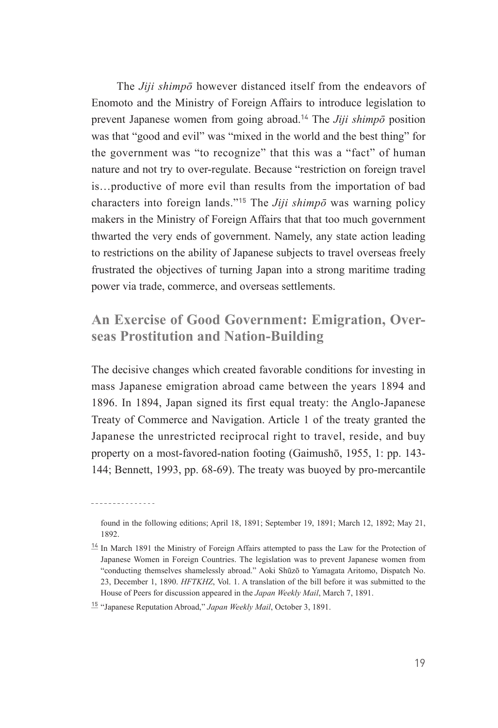The *Jiji shimpō* however distanced itself from the endeavors of Enomoto and the Ministry of Foreign Affairs to introduce legislation to prevent Japanese women from going abroad.**<sup>14</sup>** The *Jiji shimpō* position was that "good and evil" was "mixed in the world and the best thing" for the government was "to recognize" that this was a "fact" of human nature and not try to over-regulate. Because "restriction on foreign travel is…productive of more evil than results from the importation of bad characters into foreign lands."**<sup>15</sup>** The *Jiji shimpō* was warning policy makers in the Ministry of Foreign Affairs that that too much government thwarted the very ends of government. Namely, any state action leading to restrictions on the ability of Japanese subjects to travel overseas freely frustrated the objectives of turning Japan into a strong maritime trading power via trade, commerce, and overseas settlements.

### **An Exercise of Good Government: Emigration, Overseas Prostitution and Nation-Building**

The decisive changes which created favorable conditions for investing in mass Japanese emigration abroad came between the years 1894 and 1896. In 1894, Japan signed its first equal treaty: the Anglo-Japanese Treaty of Commerce and Navigation. Article 1 of the treaty granted the Japanese the unrestricted reciprocal right to travel, reside, and buy property on a most-favored-nation footing (Gaimushō, 1955, 1: pp. 143- 144; Bennett, 1993, pp. 68-69). The treaty was buoyed by pro-mercantile

<u>. . . . . . . . . . . . . . .</u>

found in the following editions; April 18, 1891; September 19, 1891; March 12, 1892; May 21, 1892.

<sup>&</sup>lt;sup>14</sup> In March 1891 the Ministry of Foreign Affairs attempted to pass the Law for the Protection of Japanese Women in Foreign Countries. The legislation was to prevent Japanese women from "conducting themselves shamelessly abroad." Aoki Shūzō to Yamagata Aritomo, Dispatch No. 23, December 1, 1890. *HFTKHZ*, Vol. 1. A translation of the bill before it was submitted to the House of Peers for discussion appeared in the *Japan Weekly Mail*, March 7, 1891.

**<sup>15</sup>**¡"Japanese Reputation Abroad," *Japan Weekly Mail*, October 3, 1891.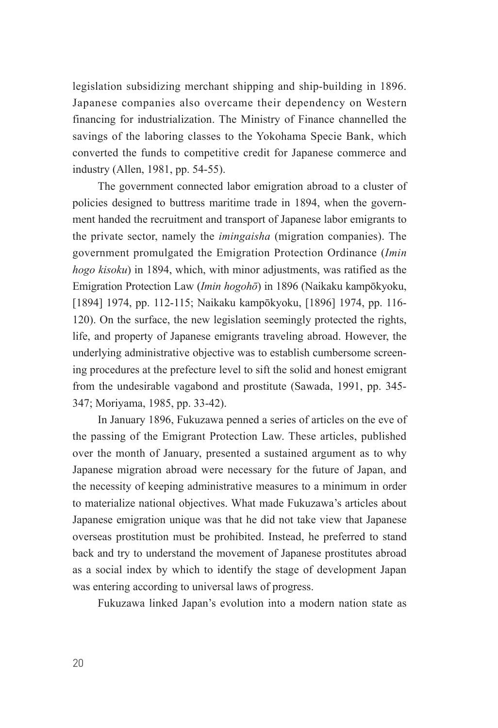legislation subsidizing merchant shipping and ship-building in 1896. Japanese companies also overcame their dependency on Western financing for industrialization. The Ministry of Finance channelled the savings of the laboring classes to the Yokohama Specie Bank, which converted the funds to competitive credit for Japanese commerce and industry (Allen, 1981, pp. 54-55).

The government connected labor emigration abroad to a cluster of policies designed to buttress maritime trade in 1894, when the government handed the recruitment and transport of Japanese labor emigrants to the private sector, namely the *imingaisha* (migration companies). The government promulgated the Emigration Protection Ordinance (*Imin hogo kisoku*) in 1894, which, with minor adjustments, was ratified as the Emigration Protection Law (*Imin hogohō*) in 1896 (Naikaku kampōkyoku, [1894] 1974, pp. 112-115; Naikaku kampōkyoku, [1896] 1974, pp. 116- 120). On the surface, the new legislation seemingly protected the rights, life, and property of Japanese emigrants traveling abroad. However, the underlying administrative objective was to establish cumbersome screening procedures at the prefecture level to sift the solid and honest emigrant from the undesirable vagabond and prostitute (Sawada, 1991, pp. 345- 347; Moriyama, 1985, pp. 33-42).

In January 1896, Fukuzawa penned a series of articles on the eve of the passing of the Emigrant Protection Law. These articles, published over the month of January, presented a sustained argument as to why Japanese migration abroad were necessary for the future of Japan, and the necessity of keeping administrative measures to a minimum in order to materialize national objectives. What made Fukuzawa's articles about Japanese emigration unique was that he did not take view that Japanese overseas prostitution must be prohibited. Instead, he preferred to stand back and try to understand the movement of Japanese prostitutes abroad as a social index by which to identify the stage of development Japan was entering according to universal laws of progress.

Fukuzawa linked Japan's evolution into a modern nation state as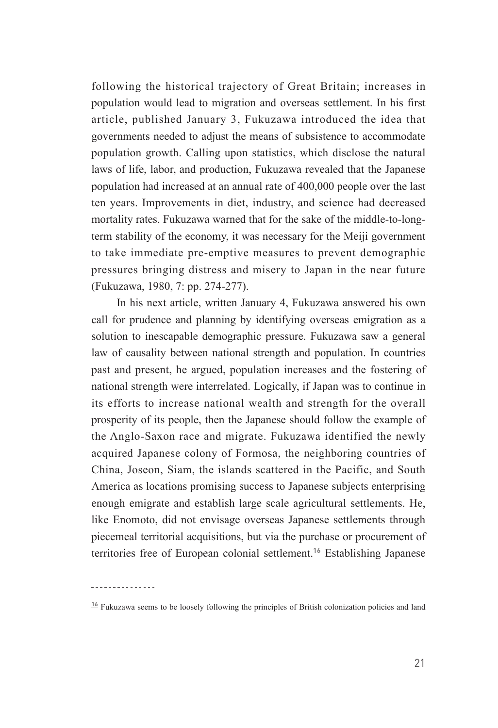following the historical trajectory of Great Britain; increases in population would lead to migration and overseas settlement. In his first article, published January 3, Fukuzawa introduced the idea that governments needed to adjust the means of subsistence to accommodate population growth. Calling upon statistics, which disclose the natural laws of life, labor, and production, Fukuzawa revealed that the Japanese population had increased at an annual rate of 400,000 people over the last ten years. Improvements in diet, industry, and science had decreased mortality rates. Fukuzawa warned that for the sake of the middle-to-longterm stability of the economy, it was necessary for the Meiji government to take immediate pre-emptive measures to prevent demographic pressures bringing distress and misery to Japan in the near future (Fukuzawa, 1980, 7: pp. 274-277).

In his next article, written January 4, Fukuzawa answered his own call for prudence and planning by identifying overseas emigration as a solution to inescapable demographic pressure. Fukuzawa saw a general law of causality between national strength and population. In countries past and present, he argued, population increases and the fostering of national strength were interrelated. Logically, if Japan was to continue in its efforts to increase national wealth and strength for the overall prosperity of its people, then the Japanese should follow the example of the Anglo-Saxon race and migrate. Fukuzawa identified the newly acquired Japanese colony of Formosa, the neighboring countries of China, Joseon, Siam, the islands scattered in the Pacific, and South America as locations promising success to Japanese subjects enterprising enough emigrate and establish large scale agricultural settlements. He, like Enomoto, did not envisage overseas Japanese settlements through piecemeal territorial acquisitions, but via the purchase or procurement of territories free of European colonial settlement.**<sup>16</sup>** Establishing Japanese

 $\frac{16}{3}$  Fukuzawa seems to be loosely following the principles of British colonization policies and land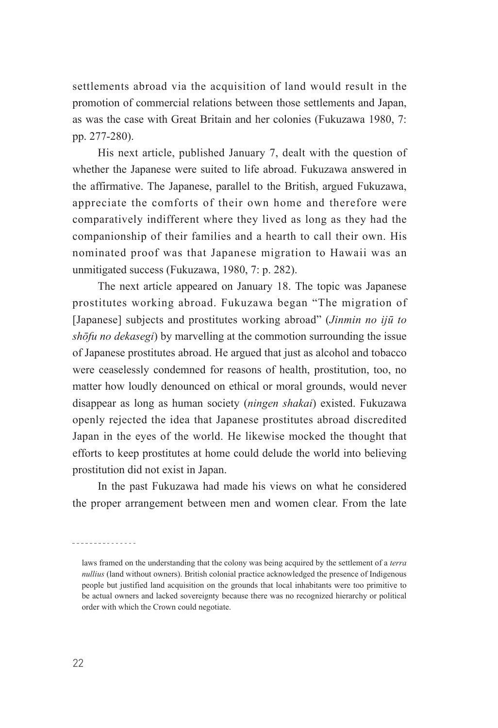settlements abroad via the acquisition of land would result in the promotion of commercial relations between those settlements and Japan, as was the case with Great Britain and her colonies (Fukuzawa 1980, 7: pp. 277-280).

His next article, published January 7, dealt with the question of whether the Japanese were suited to life abroad. Fukuzawa answered in the affirmative. The Japanese, parallel to the British, argued Fukuzawa, appreciate the comforts of their own home and therefore were comparatively indifferent where they lived as long as they had the companionship of their families and a hearth to call their own. His nominated proof was that Japanese migration to Hawaii was an unmitigated success (Fukuzawa, 1980, 7: p. 282).

The next article appeared on January 18. The topic was Japanese prostitutes working abroad. Fukuzawa began "The migration of [Japanese] subjects and prostitutes working abroad" (*Jinmin no ijū to shōfu no dekasegi*) by marvelling at the commotion surrounding the issue of Japanese prostitutes abroad. He argued that just as alcohol and tobacco were ceaselessly condemned for reasons of health, prostitution, too, no matter how loudly denounced on ethical or moral grounds, would never disappear as long as human society (*ningen shakai*) existed. Fukuzawa openly rejected the idea that Japanese prostitutes abroad discredited Japan in the eyes of the world. He likewise mocked the thought that efforts to keep prostitutes at home could delude the world into believing prostitution did not exist in Japan.

In the past Fukuzawa had made his views on what he considered the proper arrangement between men and women clear. From the late

laws framed on the understanding that the colony was being acquired by the settlement of a *terra nullius* (land without owners). British colonial practice acknowledged the presence of Indigenous people but justified land acquisition on the grounds that local inhabitants were too primitive to be actual owners and lacked sovereignty because there was no recognized hierarchy or political order with which the Crown could negotiate.

---------------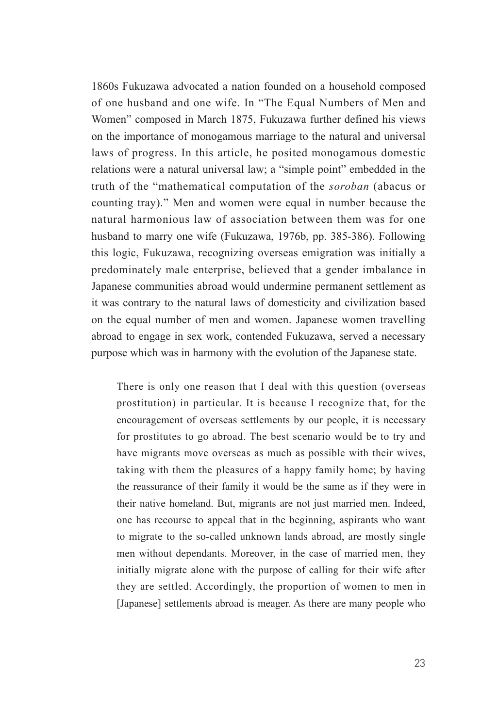1860s Fukuzawa advocated a nation founded on a household composed of one husband and one wife. In "The Equal Numbers of Men and Women" composed in March 1875, Fukuzawa further defined his views on the importance of monogamous marriage to the natural and universal laws of progress. In this article, he posited monogamous domestic relations were a natural universal law; a "simple point" embedded in the truth of the "mathematical computation of the *soroban* (abacus or counting tray)." Men and women were equal in number because the natural harmonious law of association between them was for one husband to marry one wife (Fukuzawa, 1976b, pp. 385-386). Following this logic, Fukuzawa, recognizing overseas emigration was initially a predominately male enterprise, believed that a gender imbalance in Japanese communities abroad would undermine permanent settlement as it was contrary to the natural laws of domesticity and civilization based on the equal number of men and women. Japanese women travelling abroad to engage in sex work, contended Fukuzawa, served a necessary purpose which was in harmony with the evolution of the Japanese state.

There is only one reason that I deal with this question (overseas prostitution) in particular. It is because I recognize that, for the encouragement of overseas settlements by our people, it is necessary for prostitutes to go abroad. The best scenario would be to try and have migrants move overseas as much as possible with their wives, taking with them the pleasures of a happy family home; by having the reassurance of their family it would be the same as if they were in their native homeland. But, migrants are not just married men. Indeed, one has recourse to appeal that in the beginning, aspirants who want to migrate to the so-called unknown lands abroad, are mostly single men without dependants. Moreover, in the case of married men, they initially migrate alone with the purpose of calling for their wife after they are settled. Accordingly, the proportion of women to men in [Japanese] settlements abroad is meager. As there are many people who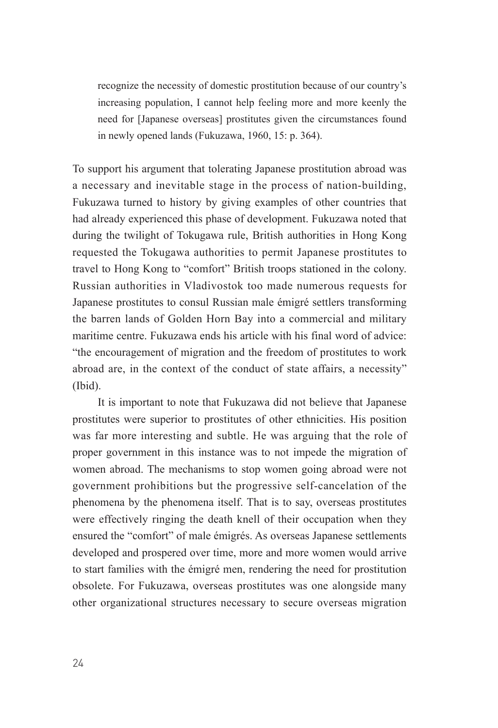recognize the necessity of domestic prostitution because of our country's increasing population, I cannot help feeling more and more keenly the need for [Japanese overseas] prostitutes given the circumstances found in newly opened lands (Fukuzawa, 1960, 15: p. 364).

To support his argument that tolerating Japanese prostitution abroad was a necessary and inevitable stage in the process of nation-building, Fukuzawa turned to history by giving examples of other countries that had already experienced this phase of development. Fukuzawa noted that during the twilight of Tokugawa rule, British authorities in Hong Kong requested the Tokugawa authorities to permit Japanese prostitutes to travel to Hong Kong to "comfort" British troops stationed in the colony. Russian authorities in Vladivostok too made numerous requests for Japanese prostitutes to consul Russian male émigré settlers transforming the barren lands of Golden Horn Bay into a commercial and military maritime centre. Fukuzawa ends his article with his final word of advice: "the encouragement of migration and the freedom of prostitutes to work abroad are, in the context of the conduct of state affairs, a necessity" (Ibid).

It is important to note that Fukuzawa did not believe that Japanese prostitutes were superior to prostitutes of other ethnicities. His position was far more interesting and subtle. He was arguing that the role of proper government in this instance was to not impede the migration of women abroad. The mechanisms to stop women going abroad were not government prohibitions but the progressive self-cancelation of the phenomena by the phenomena itself. That is to say, overseas prostitutes were effectively ringing the death knell of their occupation when they ensured the "comfort" of male émigrés. As overseas Japanese settlements developed and prospered over time, more and more women would arrive to start families with the émigré men, rendering the need for prostitution obsolete. For Fukuzawa, overseas prostitutes was one alongside many other organizational structures necessary to secure overseas migration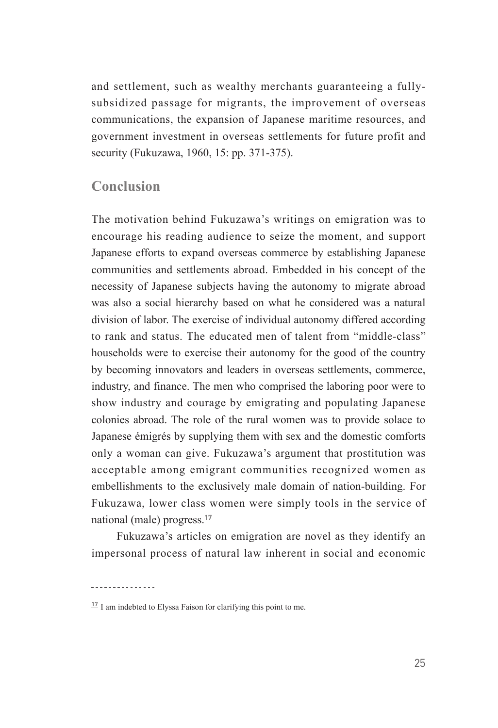and settlement, such as wealthy merchants guaranteeing a fullysubsidized passage for migrants, the improvement of overseas communications, the expansion of Japanese maritime resources, and government investment in overseas settlements for future profit and security (Fukuzawa, 1960, 15: pp. 371-375).

### **Conclusion**

The motivation behind Fukuzawa's writings on emigration was to encourage his reading audience to seize the moment, and support Japanese efforts to expand overseas commerce by establishing Japanese communities and settlements abroad. Embedded in his concept of the necessity of Japanese subjects having the autonomy to migrate abroad was also a social hierarchy based on what he considered was a natural division of labor. The exercise of individual autonomy differed according to rank and status. The educated men of talent from "middle-class" households were to exercise their autonomy for the good of the country by becoming innovators and leaders in overseas settlements, commerce, industry, and finance. The men who comprised the laboring poor were to show industry and courage by emigrating and populating Japanese colonies abroad. The role of the rural women was to provide solace to Japanese émigrés by supplying them with sex and the domestic comforts only a woman can give. Fukuzawa's argument that prostitution was acceptable among emigrant communities recognized women as embellishments to the exclusively male domain of nation-building. For Fukuzawa, lower class women were simply tools in the service of national (male) progress.**<sup>17</sup>**

Fukuzawa's articles on emigration are novel as they identify an impersonal process of natural law inherent in social and economic

 $17$ <sup>I</sup> I am indebted to Elyssa Faison for clarifying this point to me.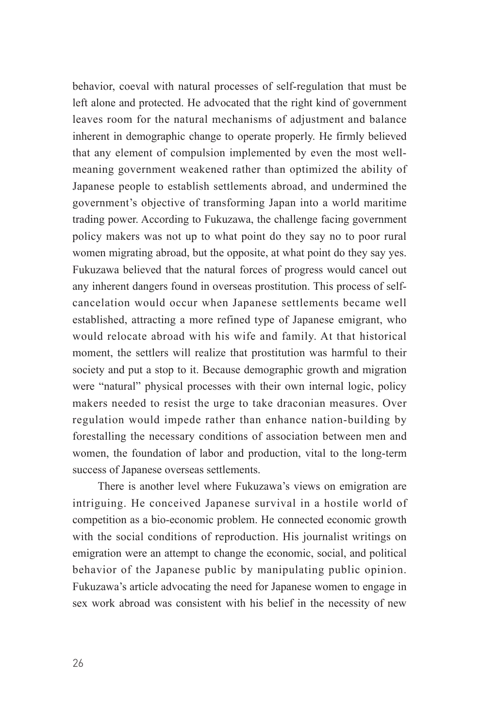behavior, coeval with natural processes of self-regulation that must be left alone and protected. He advocated that the right kind of government leaves room for the natural mechanisms of adjustment and balance inherent in demographic change to operate properly. He firmly believed that any element of compulsion implemented by even the most wellmeaning government weakened rather than optimized the ability of Japanese people to establish settlements abroad, and undermined the government's objective of transforming Japan into a world maritime trading power. According to Fukuzawa, the challenge facing government policy makers was not up to what point do they say no to poor rural women migrating abroad, but the opposite, at what point do they say yes. Fukuzawa believed that the natural forces of progress would cancel out any inherent dangers found in overseas prostitution. This process of selfcancelation would occur when Japanese settlements became well established, attracting a more refined type of Japanese emigrant, who would relocate abroad with his wife and family. At that historical moment, the settlers will realize that prostitution was harmful to their society and put a stop to it. Because demographic growth and migration were "natural" physical processes with their own internal logic, policy makers needed to resist the urge to take draconian measures. Over regulation would impede rather than enhance nation-building by forestalling the necessary conditions of association between men and women, the foundation of labor and production, vital to the long-term success of Japanese overseas settlements.

There is another level where Fukuzawa's views on emigration are intriguing. He conceived Japanese survival in a hostile world of competition as a bio-economic problem. He connected economic growth with the social conditions of reproduction. His journalist writings on emigration were an attempt to change the economic, social, and political behavior of the Japanese public by manipulating public opinion. Fukuzawa's article advocating the need for Japanese women to engage in sex work abroad was consistent with his belief in the necessity of new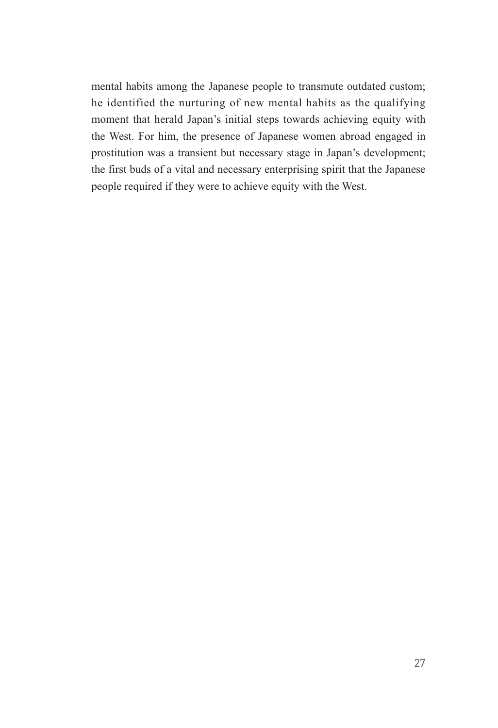mental habits among the Japanese people to transmute outdated custom; he identified the nurturing of new mental habits as the qualifying moment that herald Japan's initial steps towards achieving equity with the West. For him, the presence of Japanese women abroad engaged in prostitution was a transient but necessary stage in Japan's development; the first buds of a vital and necessary enterprising spirit that the Japanese people required if they were to achieve equity with the West.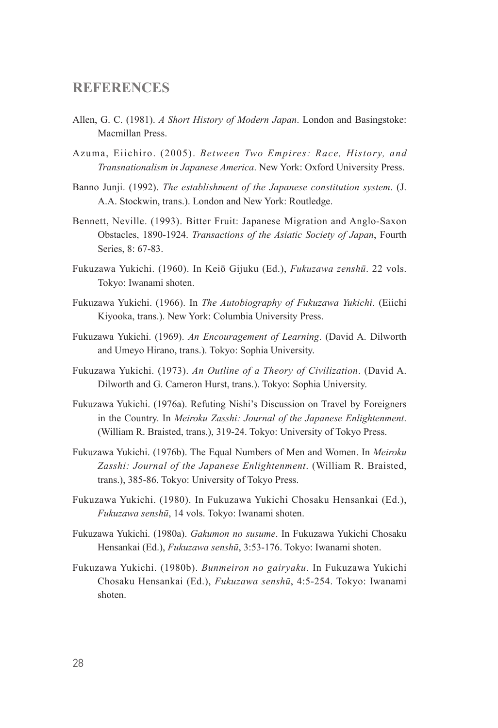#### **REFERENCES**

- Allen, G. C. (1981). *A Short History of Modern Japan*. London and Basingstoke: Macmillan Press.
- Azuma, Eiichiro. (2005). *Between Two Empires: Race, History, and Transnationalism in Japanese America*. New York: Oxford University Press.
- Banno Junji. (1992). *The establishment of the Japanese constitution system*. (J. A.A. Stockwin, trans.). London and New York: Routledge.
- Bennett, Neville. (1993). Bitter Fruit: Japanese Migration and Anglo-Saxon Obstacles, 1890-1924. *Transactions of the Asiatic Society of Japan*, Fourth Series, 8: 67-83.
- Fukuzawa Yukichi. (1960). In Keiō Gijuku (Ed.), *Fukuzawa zenshū*. 22 vols. Tokyo: Iwanami shoten.
- Fukuzawa Yukichi. (1966). In *The Autobiography of Fukuzawa Yukichi*. (Eiichi Kiyooka, trans.). New York: Columbia University Press.
- Fukuzawa Yukichi. (1969). *An Encouragement of Learning*. (David A. Dilworth and Umeyo Hirano, trans.). Tokyo: Sophia University.
- Fukuzawa Yukichi. (1973). *An Outline of a Theory of Civilization*. (David A. Dilworth and G. Cameron Hurst, trans.). Tokyo: Sophia University.
- Fukuzawa Yukichi. (1976a). Refuting Nishi's Discussion on Travel by Foreigners in the Country. In *Meiroku Zasshi: Journal of the Japanese Enlightenment*. (William R. Braisted, trans.), 319-24. Tokyo: University of Tokyo Press.
- Fukuzawa Yukichi. (1976b). The Equal Numbers of Men and Women. In *Meiroku Zasshi: Journal of the Japanese Enlightenment*. (William R. Braisted, trans.), 385-86. Tokyo: University of Tokyo Press.
- Fukuzawa Yukichi. (1980). In Fukuzawa Yukichi Chosaku Hensankai (Ed.), *Fukuzawa senshū*, 14 vols. Tokyo: Iwanami shoten.
- Fukuzawa Yukichi. (1980a). *Gakumon no susume*. In Fukuzawa Yukichi Chosaku Hensankai (Ed.), *Fukuzawa senshū*, 3:53-176. Tokyo: Iwanami shoten.
- Fukuzawa Yukichi. (1980b). *Bunmeiron no gairyaku*. In Fukuzawa Yukichi Chosaku Hensankai (Ed.), *Fukuzawa senshū*, 4:5-254. Tokyo: Iwanami shoten.